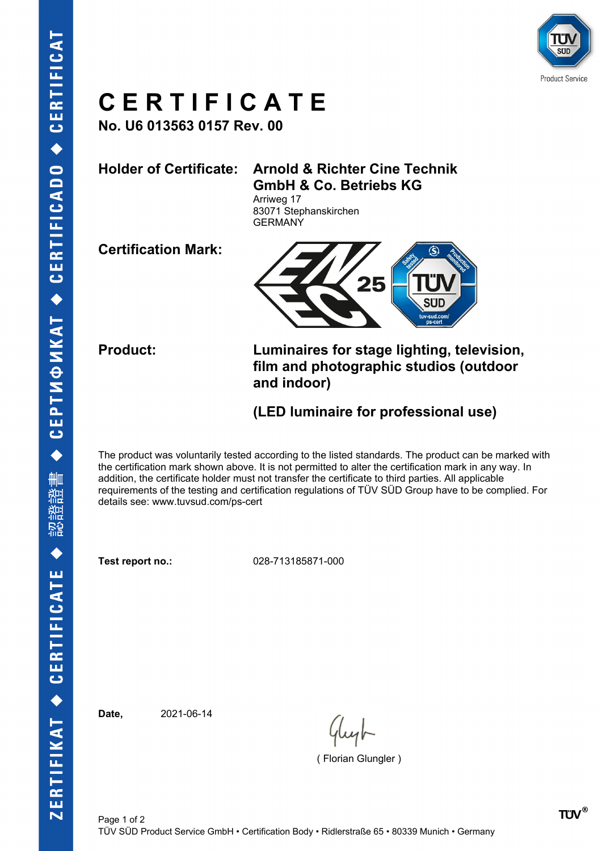

## **C E R T I F I C A T E**

**No. U6 013563 0157 Rev. 00**

### **Holder of Certificate: Arnold & Richter Cine Technik GmbH & Co. Betriebs KG**

Arriweg 17 83071 Stephanskirchen **GERMANY** 

**Certification Mark:**



**Product: Luminaires for stage lighting, television, film and photographic studios (outdoor and indoor)**

### **(LED luminaire for professional use)**

The product was voluntarily tested according to the listed standards. The product can be marked with the certification mark shown above. It is not permitted to alter the certification mark in any way. In addition, the certificate holder must not transfer the certificate to third parties. All applicable requirements of the testing and certification regulations of TÜV SÜD Group have to be complied. For details see: www.tuvsud.com/ps-cert

**Test report no.:** 028-713185871-000

**Date,** 2021-06-14

( Florian Glungler )